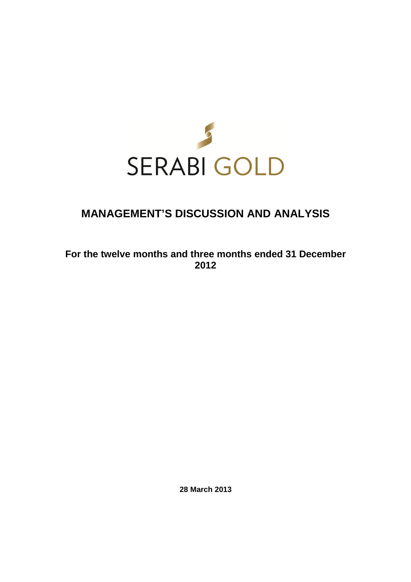

# **MANAGEMENT'S DISCUSSION AND ANALYSIS**

# **For the twelve months and three months ended 31 December 2012**

**28 March 2013**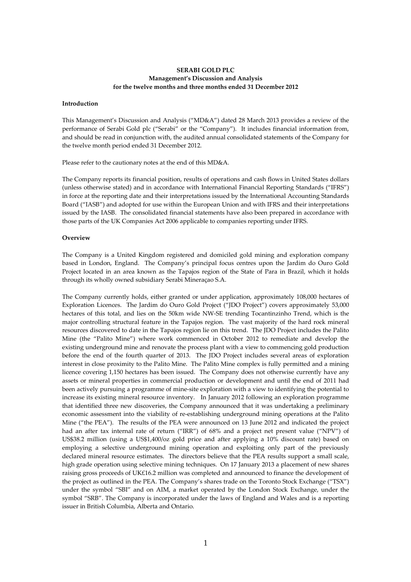# **SERABI GOLD PLC Management's Discussion and Analysis for the twelve months and three months ended 31 December 2012**

## **Introduction**

This Management's Discussion and Analysis ("MD&A") dated 28 March 2013 provides a review of the performance of Serabi Gold plc ("Serabi" or the "Company"). It includes financial information from, and should be read in conjunction with, the audited annual consolidated statements of the Company for the twelve month period ended 31 December 2012.

Please refer to the cautionary notes at the end of this MD&A.

The Company reports its financial position, results of operations and cash flows in United States dollars (unless otherwise stated) and in accordance with International Financial Reporting Standards ("IFRS") in force at the reporting date and their interpretations issued by the International Accounting Standards Board ("IASB") and adopted for use within the European Union and with IFRS and their interpretations issued by the IASB. The consolidated financial statements have also been prepared in accordance with those parts of the UK Companies Act 2006 applicable to companies reporting under IFRS.

#### **Overview**

The Company is a United Kingdom registered and domiciled gold mining and exploration company based in London, England. The Company's principal focus centres upon the Jardim do Ouro Gold Project located in an area known as the Tapajos region of the State of Para in Brazil, which it holds through its wholly owned subsidiary Serabi Mineraçao S.A.

The Company currently holds, either granted or under application, approximately 108,000 hectares of Exploration Licences. The Jardim do Ouro Gold Project ("JDO Project") covers approximately 53,000 hectares of this total, and lies on the 50km wide NW-SE trending Tocantinzinho Trend, which is the major controlling structural feature in the Tapajos region. The vast majority of the hard rock mineral resources discovered to date in the Tapajos region lie on this trend. The JDO Project includes the Palito Mine (the "Palito Mine") where work commenced in October 2012 to remediate and develop the existing underground mine and renovate the process plant with a view to commencing gold production before the end of the fourth quarter of 2013. The JDO Project includes several areas of exploration interest in close proximity to the Palito Mine. The Palito Mine complex is fully permitted and a mining licence covering 1,150 hectares has been issued. The Company does not otherwise currently have any assets or mineral properties in commercial production or development and until the end of 2011 had been actively pursuing a programme of mine-site exploration with a view to identifying the potential to increase its existing mineral resource inventory. In January 2012 following an exploration programme that identified three new discoveries, the Company announced that it was undertaking a preliminary economic assessment into the viability of re-establishing underground mining operations at the Palito Mine ("the PEA"). The results of the PEA were announced on 13 June 2012 and indicated the project had an after tax internal rate of return ("IRR") of 68% and a project net present value ("NPV") of US\$38.2 million (using a US\$1,400/oz gold price and after applying a 10% discount rate) based on employing a selective underground mining operation and exploiting only part of the previously declared mineral resource estimates. The directors believe that the PEA results support a small scale, high grade operation using selective mining techniques. On 17 January 2013 a placement of new shares raising gross proceeds of UK£16.2 million was completed and announced to finance the development of the project as outlined in the PEA. The Company's shares trade on the Toronto Stock Exchange ("TSX") under the symbol "SBI" and on AIM, a market operated by the London Stock Exchange, under the symbol "SRB". The Company is incorporated under the laws of England and Wales and is a reporting issuer in British Columbia, Alberta and Ontario.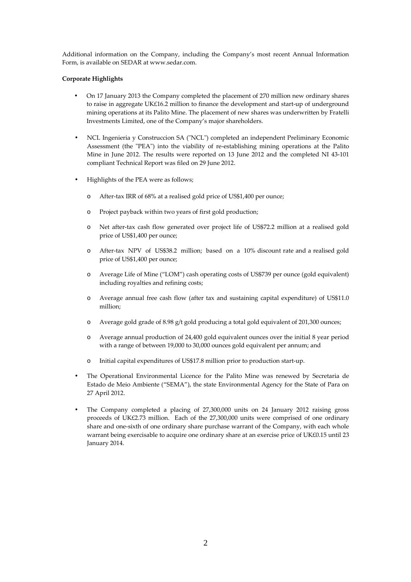Additional information on the Company, including the Company's most recent Annual Information Form, is available on SEDAR at www.sedar.com.

# **Corporate Highlights**

- On 17 January 2013 the Company completed the placement of 270 million new ordinary shares to raise in aggregate UK£16.2 million to finance the development and start-up of underground mining operations at its Palito Mine. The placement of new shares was underwritten by Fratelli Investments Limited, one of the Company's major shareholders.
- NCL Ingenieria y Construccion SA ("NCL") completed an independent Preliminary Economic Assessment (the "PEA") into the viability of re-establishing mining operations at the Palito Mine in June 2012. The results were reported on 13 June 2012 and the completed NI 43-101 compliant Technical Report was filed on 29 June 2012.
- Highlights of the PEA were as follows;
	- o After-tax IRR of 68% at a realised gold price of US\$1,400 per ounce;
	- o Project payback within two years of first gold production;
	- o Net after-tax cash flow generated over project life of US\$72.2 million at a realised gold price of US\$1,400 per ounce;
	- o After-tax NPV of US\$38.2 million; based on a 10% discount rate and a realised gold price of US\$1,400 per ounce;
	- o Average Life of Mine ("LOM") cash operating costs of US\$739 per ounce (gold equivalent) including royalties and refining costs;
	- o Average annual free cash flow (after tax and sustaining capital expenditure) of US\$11.0 million;
	- o Average gold grade of 8.98 g/t gold producing a total gold equivalent of 201,300 ounces;
	- o Average annual production of 24,400 gold equivalent ounces over the initial 8 year period with a range of between 19,000 to 30,000 ounces gold equivalent per annum; and
	- o Initial capital expenditures of US\$17.8 million prior to production start-up.
- The Operational Environmental Licence for the Palito Mine was renewed by Secretaria de Estado de Meio Ambiente ("SEMA"), the state Environmental Agency for the State of Para on 27 April 2012.
- The Company completed a placing of 27,300,000 units on 24 January 2012 raising gross proceeds of UK£2.73 million. Each of the 27,300,000 units were comprised of one ordinary share and one-sixth of one ordinary share purchase warrant of the Company, with each whole warrant being exercisable to acquire one ordinary share at an exercise price of UK£0.15 until 23 January 2014.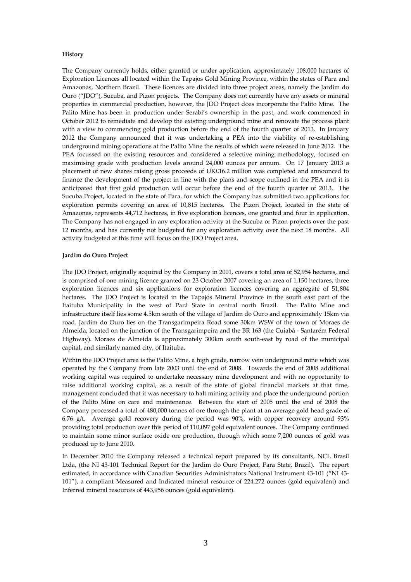### **History**

The Company currently holds, either granted or under application, approximately 108,000 hectares of Exploration Licences all located within the Tapajos Gold Mining Province, within the states of Para and Amazonas, Northern Brazil. These licences are divided into three project areas, namely the Jardim do Ouro ("JDO"), Sucuba, and Pizon projects. The Company does not currently have any assets or mineral properties in commercial production, however, the JDO Project does incorporate the Palito Mine. The Palito Mine has been in production under Serabi's ownership in the past, and work commenced in October 2012 to remediate and develop the existing underground mine and renovate the process plant with a view to commencing gold production before the end of the fourth quarter of 2013. In January 2012 the Company announced that it was undertaking a PEA into the viability of re-establishing underground mining operations at the Palito Mine the results of which were released in June 2012. The PEA focussed on the existing resources and considered a selective mining methodology, focused on maximising grade with production levels around 24,000 ounces per annum. On 17 January 2013 a placement of new shares raising gross proceeds of UK£16.2 million was completed and announced to finance the development of the project in line with the plans and scope outlined in the PEA and it is anticipated that first gold production will occur before the end of the fourth quarter of 2013. The Sucuba Project, located in the state of Para, for which the Company has submitted two applications for exploration permits covering an area of 10,815 hectares. The Pizon Project, located in the state of Amazonas, represents 44,712 hectares, in five exploration licences, one granted and four in application. The Company has not engaged in any exploration activity at the Sucuba or Pizon projects over the past 12 months, and has currently not budgeted for any exploration activity over the next 18 months. All activity budgeted at this time will focus on the JDO Project area.

# **Jardim do Ouro Project**

The JDO Project, originally acquired by the Company in 2001, covers a total area of 52,954 hectares, and is comprised of one mining licence granted on 23 October 2007 covering an area of 1,150 hectares, three exploration licences and six applications for exploration licences covering an aggregate of 51,804 hectares. The JDO Project is located in the Tapajós Mineral Province in the south east part of the Itaituba Municipality in the west of Pará State in central north Brazil. The Palito Mine and infrastructure itself lies some 4.5km south of the village of Jardim do Ouro and approximately 15km via road. Jardim do Ouro lies on the Transgarimpeira Road some 30km WSW of the town of Moraes de Almeida, located on the junction of the Transgarimpeira and the BR 163 (the Cuiabá - Santarém Federal Highway). Moraes de Almeida is approximately 300km south south-east by road of the municipal capital, and similarly named city, of Itaituba.

Within the JDO Project area is the Palito Mine, a high grade, narrow vein underground mine which was operated by the Company from late 2003 until the end of 2008. Towards the end of 2008 additional working capital was required to undertake necessary mine development and with no opportunity to raise additional working capital, as a result of the state of global financial markets at that time, management concluded that it was necessary to halt mining activity and place the underground portion of the Palito Mine on care and maintenance. Between the start of 2005 until the end of 2008 the Company processed a total of 480,000 tonnes of ore through the plant at an average gold head grade of 6.76 g/t. Average gold recovery during the period was 90%, with copper recovery around 93% providing total production over this period of 110,097 gold equivalent ounces. The Company continued to maintain some minor surface oxide ore production, through which some 7,200 ounces of gold was produced up to June 2010.

In December 2010 the Company released a technical report prepared by its consultants, NCL Brasil Ltda, (the NI 43-101 Technical Report for the Jardim do Ouro Project, Para State, Brazil). The report estimated, in accordance with Canadian Securities Administrators National Instrument 43-101 ("NI 43- 101"), a compliant Measured and Indicated mineral resource of 224,272 ounces (gold equivalent) and Inferred mineral resources of 443,956 ounces (gold equivalent).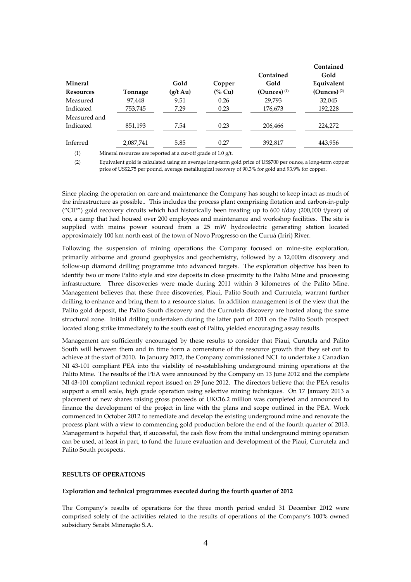|                  |           |                    |         |                | Contained                 |
|------------------|-----------|--------------------|---------|----------------|---------------------------|
|                  |           |                    |         | Contained      | Gold                      |
| <b>Mineral</b>   |           | Gold               | Copper  | Gold           | Equivalent                |
| <b>Resources</b> | Tonnage   | $(g/t \text{ Au})$ | $(%$ Cu | (Ounces) $(1)$ | $(Qunces)$ <sup>(2)</sup> |
| Measured         | 97,448    | 9.51               | 0.26    | 29,793         | 32,045                    |
| Indicated        | 753,745   | 7.29               | 0.23    | 176,673        | 192,228                   |
| Measured and     |           |                    |         |                |                           |
| Indicated        | 851,193   | 7.54               | 0.23    | 206,466        | 224,272                   |
|                  |           |                    |         |                |                           |
| Inferred         | 2,087,741 | 5.85               | 0.27    | 392,817        | 443,956                   |
|                  |           |                    |         |                |                           |

(1) Mineral resources are reported at a cut-off grade of 1.0 g/t.

(2) Equivalent gold is calculated using an average long-term gold price of US\$700 per ounce, a long-term copper price of US\$2.75 per pound, average metallurgical recovery of 90.3% for gold and 93.9% for copper.

Since placing the operation on care and maintenance the Company has sought to keep intact as much of the infrastructure as possible.. This includes the process plant comprising flotation and carbon-in-pulp ("CIP") gold recovery circuits which had historically been treating up to 600 t/day (200,000 t/year) of ore, a camp that had housed over 200 employees and maintenance and workshop facilities. The site is supplied with mains power sourced from a 25 mW hydroelectric generating station located approximately 100 km north east of the town of Novo Progresso on the Curuá (Iriri) River.

Following the suspension of mining operations the Company focused on mine-site exploration, primarily airborne and ground geophysics and geochemistry, followed by a 12,000m discovery and follow-up diamond drilling programme into advanced targets. The exploration objective has been to identify two or more Palito style and size deposits in close proximity to the Palito Mine and processing infrastructure. Three discoveries were made during 2011 within 3 kilometres of the Palito Mine. Management believes that these three discoveries, Piaui, Palito South and Currutela, warrant further drilling to enhance and bring them to a resource status. In addition management is of the view that the Palito gold deposit, the Palito South discovery and the Currutela discovery are hosted along the same structural zone. Initial drilling undertaken during the latter part of 2011 on the Palito South prospect located along strike immediately to the south east of Palito, yielded encouraging assay results.

Management are sufficiently encouraged by these results to consider that Piaui, Curutela and Palito South will between them and in time form a cornerstone of the resource growth that they set out to achieve at the start of 2010. In January 2012, the Company commissioned NCL to undertake a Canadian NI 43-101 compliant PEA into the viability of re-establishing underground mining operations at the Palito Mine. The results of the PEA were announced by the Company on 13 June 2012 and the complete NI 43-101 compliant technical report issued on 29 June 2012. The directors believe that the PEA results support a small scale, high grade operation using selective mining techniques. On 17 January 2013 a placement of new shares raising gross proceeds of UK£16.2 million was completed and announced to finance the development of the project in line with the plans and scope outlined in the PEA. Work commenced in October 2012 to remediate and develop the existing underground mine and renovate the process plant with a view to commencing gold production before the end of the fourth quarter of 2013. Management is hopeful that, if successful, the cash flow from the initial underground mining operation can be used, at least in part, to fund the future evaluation and development of the Piaui, Currutela and Palito South prospects.

# **RESULTS OF OPERATIONS**

#### **Exploration and technical programmes executed during the fourth quarter of 2012**

The Company's results of operations for the three month period ended 31 December 2012 were comprised solely of the activities related to the results of operations of the Company's 100% owned subsidiary Serabi Mineraçăo S.A.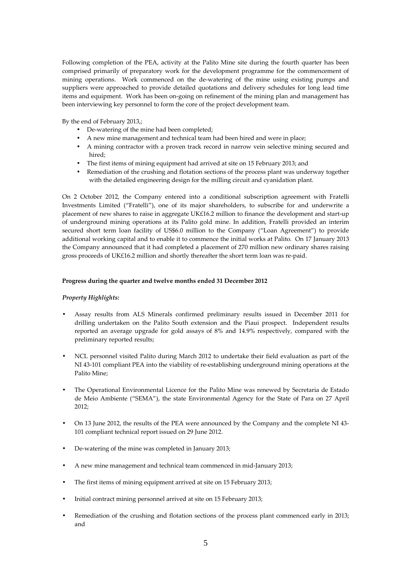Following completion of the PEA, activity at the Palito Mine site during the fourth quarter has been comprised primarily of preparatory work for the development programme for the commencement of mining operations. Work commenced on the de-watering of the mine using existing pumps and suppliers were approached to provide detailed quotations and delivery schedules for long lead time items and equipment. Work has been on-going on refinement of the mining plan and management has been interviewing key personnel to form the core of the project development team.

By the end of February 2013,;

- De-watering of the mine had been completed;
- A new mine management and technical team had been hired and were in place;
- A mining contractor with a proven track record in narrow vein selective mining secured and hired;
- The first items of mining equipment had arrived at site on 15 February 2013; and
- Remediation of the crushing and flotation sections of the process plant was underway together with the detailed engineering design for the milling circuit and cyanidation plant.

On 2 October 2012, the Company entered into a conditional subscription agreement with Fratelli Investments Limited ("Fratelli"), one of its major shareholders, to subscribe for and underwrite a placement of new shares to raise in aggregate UK£16.2 million to finance the development and start-up of underground mining operations at its Palito gold mine. In addition, Fratelli provided an interim secured short term loan facility of US\$6.0 million to the Company ("Loan Agreement") to provide additional working capital and to enable it to commence the initial works at Palito. On 17 January 2013 the Company announced that it had completed a placement of 270 million new ordinary shares raising gross proceeds of UK£16.2 million and shortly thereafter the short term loan was re-paid.

### **Progress during the quarter and twelve months ended 31 December 2012**

### *Property Highlights:*

- Assay results from ALS Minerals confirmed preliminary results issued in December 2011 for drilling undertaken on the Palito South extension and the Piaui prospect. Independent results reported an average upgrade for gold assays of 8% and 14.9% respectively, compared with the preliminary reported results;
- NCL personnel visited Palito during March 2012 to undertake their field evaluation as part of the NI 43-101 compliant PEA into the viability of re-establishing underground mining operations at the Palito Mine;
- The Operational Environmental Licence for the Palito Mine was renewed by Secretaria de Estado de Meio Ambiente ("SEMA"), the state Environmental Agency for the State of Para on 27 April 2012;
- On 13 June 2012, the results of the PEA were announced by the Company and the complete NI 43- 101 compliant technical report issued on 29 June 2012.
- De-watering of the mine was completed in January 2013;
- A new mine management and technical team commenced in mid-January 2013;
- The first items of mining equipment arrived at site on 15 February 2013;
- Initial contract mining personnel arrived at site on 15 February 2013;
- Remediation of the crushing and flotation sections of the process plant commenced early in 2013; and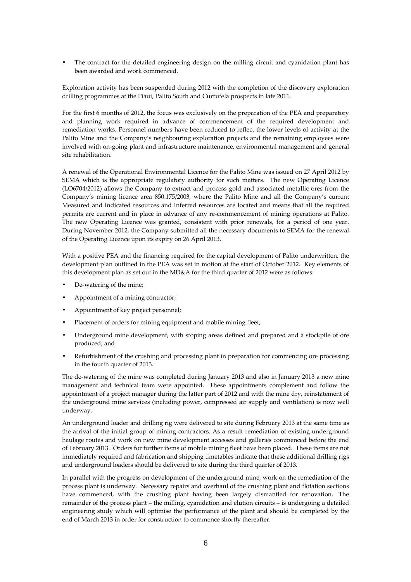• The contract for the detailed engineering design on the milling circuit and cyanidation plant has been awarded and work commenced.

Exploration activity has been suspended during 2012 with the completion of the discovery exploration drilling programmes at the Piaui, Palito South and Currutela prospects in late 2011.

For the first 6 months of 2012, the focus was exclusively on the preparation of the PEA and preparatory and planning work required in advance of commencement of the required development and remediation works. Personnel numbers have been reduced to reflect the lower levels of activity at the Palito Mine and the Company's neighbouring exploration projects and the remaining employees were involved with on-going plant and infrastructure maintenance, environmental management and general site rehabilitation.

A renewal of the Operational Environmental Licence for the Palito Mine was issued on 27 April 2012 by SEMA which is the appropriate regulatory authority for such matters. The new Operating Licence (LO6704/2012) allows the Company to extract and process gold and associated metallic ores from the Company's mining licence area 850.175/2003, where the Palito Mine and all the Company's current Measured and Indicated resources and Inferred resources are located and means that all the required permits are current and in place in advance of any re-commencement of mining operations at Palito. The new Operating Licence was granted, consistent with prior renewals, for a period of one year. During November 2012, the Company submitted all the necessary documents to SEMA for the renewal of the Operating Licence upon its expiry on 26 April 2013.

With a positive PEA and the financing required for the capital development of Palito underwritten, the development plan outlined in the PEA was set in motion at the start of October 2012. Key elements of this development plan as set out in the MD&A for the third quarter of 2012 were as follows:

- De-watering of the mine;
- Appointment of a mining contractor;
- Appointment of key project personnel;
- Placement of orders for mining equipment and mobile mining fleet;
- Underground mine development, with stoping areas defined and prepared and a stockpile of ore produced; and
- Refurbishment of the crushing and processing plant in preparation for commencing ore processing in the fourth quarter of 2013.

The de-watering of the mine was completed during January 2013 and also in January 2013 a new mine management and technical team were appointed. These appointments complement and follow the appointment of a project manager during the latter part of 2012 and with the mine dry, reinstatement of the underground mine services (including power, compressed air supply and ventilation) is now well underway.

An underground loader and drilling rig were delivered to site during February 2013 at the same time as the arrival of the initial group of mining contractors. As a result remediation of existing underground haulage routes and work on new mine development accesses and galleries commenced before the end of February 2013. Orders for further items of mobile mining fleet have been placed. These items are not immediately required and fabrication and shipping timetables indicate that these additional drilling rigs and underground loaders should be delivered to site during the third quarter of 2013.

In parallel with the progress on development of the underground mine, work on the remediation of the process plant is underway. Necessary repairs and overhaul of the crushing plant and flotation sections have commenced, with the crushing plant having been largely dismantled for renovation. The remainder of the process plant – the milling, cyanidation and elution circuits – is undergoing a detailed engineering study which will optimise the performance of the plant and should be completed by the end of March 2013 in order for construction to commence shortly thereafter.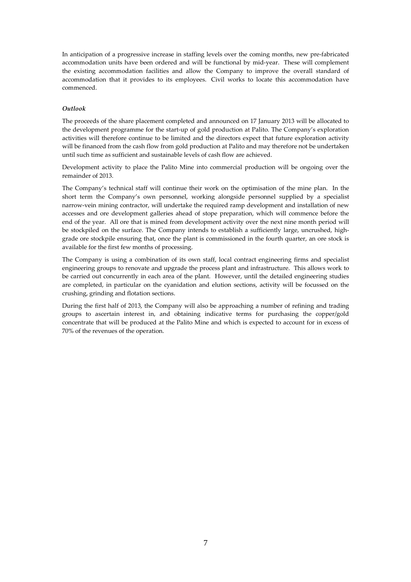In anticipation of a progressive increase in staffing levels over the coming months, new pre-fabricated accommodation units have been ordered and will be functional by mid-year. These will complement the existing accommodation facilities and allow the Company to improve the overall standard of accommodation that it provides to its employees. Civil works to locate this accommodation have commenced.

## *Outlook*

The proceeds of the share placement completed and announced on 17 January 2013 will be allocated to the development programme for the start-up of gold production at Palito. The Company's exploration activities will therefore continue to be limited and the directors expect that future exploration activity will be financed from the cash flow from gold production at Palito and may therefore not be undertaken until such time as sufficient and sustainable levels of cash flow are achieved.

Development activity to place the Palito Mine into commercial production will be ongoing over the remainder of 2013.

The Company's technical staff will continue their work on the optimisation of the mine plan. In the short term the Company's own personnel, working alongside personnel supplied by a specialist narrow-vein mining contractor, will undertake the required ramp development and installation of new accesses and ore development galleries ahead of stope preparation, which will commence before the end of the year. All ore that is mined from development activity over the next nine month period will be stockpiled on the surface. The Company intends to establish a sufficiently large, uncrushed, highgrade ore stockpile ensuring that, once the plant is commissioned in the fourth quarter, an ore stock is available for the first few months of processing.

The Company is using a combination of its own staff, local contract engineering firms and specialist engineering groups to renovate and upgrade the process plant and infrastructure. This allows work to be carried out concurrently in each area of the plant. However, until the detailed engineering studies are completed, in particular on the cyanidation and elution sections, activity will be focussed on the crushing, grinding and flotation sections.

During the first half of 2013, the Company will also be approaching a number of refining and trading groups to ascertain interest in, and obtaining indicative terms for purchasing the copper/gold concentrate that will be produced at the Palito Mine and which is expected to account for in excess of 70% of the revenues of the operation.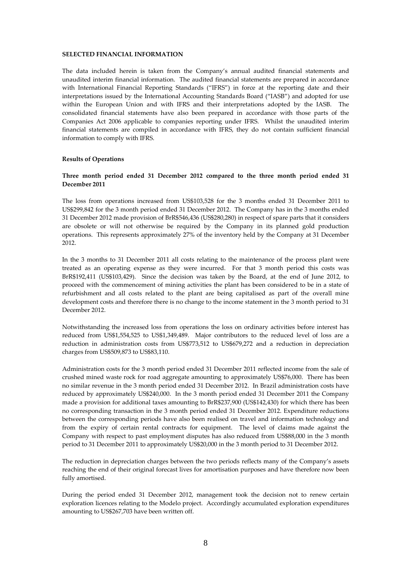#### **SELECTED FINANCIAL INFORMATION**

The data included herein is taken from the Company's annual audited financial statements and unaudited interim financial information. The audited financial statements are prepared in accordance with International Financial Reporting Standards ("IFRS") in force at the reporting date and their interpretations issued by the International Accounting Standards Board ("IASB") and adopted for use within the European Union and with IFRS and their interpretations adopted by the IASB. The consolidated financial statements have also been prepared in accordance with those parts of the Companies Act 2006 applicable to companies reporting under IFRS. Whilst the unaudited interim financial statements are compiled in accordance with IFRS, they do not contain sufficient financial information to comply with IFRS.

#### **Results of Operations**

# **Three month period ended 31 December 2012 compared to the three month period ended 31 December 2011**

The loss from operations increased from US\$103,528 for the 3 months ended 31 December 2011 to US\$299,842 for the 3 month period ended 31 December 2012. The Company has in the 3 months ended 31 December 2012 made provision of BrR\$546,436 (US\$280,280) in respect of spare parts that it considers are obsolete or will not otherwise be required by the Company in its planned gold production operations. This represents approximately 27% of the inventory held by the Company at 31 December 2012.

In the 3 months to 31 December 2011 all costs relating to the maintenance of the process plant were treated as an operating expense as they were incurred. For that 3 month period this costs was BrR\$192,411 (US\$103,429). Since the decision was taken by the Board, at the end of June 2012, to proceed with the commencement of mining activities the plant has been considered to be in a state of refurbishment and all costs related to the plant are being capitalised as part of the overall mine development costs and therefore there is no change to the income statement in the 3 month period to 31 December 2012.

Notwithstanding the increased loss from operations the loss on ordinary activities before interest has reduced from US\$1,554,525 to US\$1,349,489. Major contributors to the reduced level of loss are a reduction in administration costs from US\$773,512 to US\$679,272 and a reduction in depreciation charges from US\$509,873 to US\$83,110.

Administration costs for the 3 month period ended 31 December 2011 reflected income from the sale of crushed mined waste rock for road aggregate amounting to approximately US\$76,000. There has been no similar revenue in the 3 month period ended 31 December 2012. In Brazil administration costs have reduced by approximately US\$240,000. In the 3 month period ended 31 December 2011 the Company made a provision for additional taxes amounting to BrR\$237,900 (US\$142,430) for which there has been no corresponding transaction in the 3 month period ended 31 December 2012. Expenditure reductions between the corresponding periods have also been realised on travel and information technology and from the expiry of certain rental contracts for equipment. The level of claims made against the Company with respect to past employment disputes has also reduced from US\$88,000 in the 3 month period to 31 December 2011 to approximately US\$20,000 in the 3 month period to 31 December 2012.

The reduction in depreciation charges between the two periods reflects many of the Company's assets reaching the end of their original forecast lives for amortisation purposes and have therefore now been fully amortised.

During the period ended 31 December 2012, management took the decision not to renew certain exploration licences relating to the Modelo project. Accordingly accumulated exploration expenditures amounting to US\$267,703 have been written off.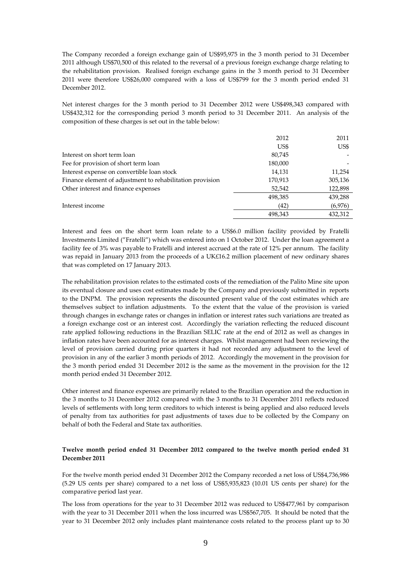The Company recorded a foreign exchange gain of US\$95,975 in the 3 month period to 31 December 2011 although US\$70,500 of this related to the reversal of a previous foreign exchange charge relating to the rehabilitation provision. Realised foreign exchange gains in the 3 month period to 31 December 2011 were therefore US\$26,000 compared with a loss of US\$799 for the 3 month period ended 31 December 2012.

Net interest charges for the 3 month period to 31 December 2012 were US\$498,343 compared with US\$432,312 for the corresponding period 3 month period to 31 December 2011. An analysis of the composition of these charges is set out in the table below:

|                                                           | 2012    | 2011    |
|-----------------------------------------------------------|---------|---------|
|                                                           | US\$    | US\$    |
| Interest on short term loan                               | 80,745  |         |
| Fee for provision of short term loan                      | 180,000 |         |
| Interest expense on convertible loan stock                | 14,131  | 11,254  |
| Finance element of adjustment to rehabilitation provision | 170,913 | 305,136 |
| Other interest and finance expenses                       | 52,542  | 122,898 |
|                                                           | 498,385 | 439,288 |
| Interest income                                           | (42)    | (6,976) |
|                                                           | 498.343 | 432,312 |

Interest and fees on the short term loan relate to a US\$6.0 million facility provided by Fratelli Investments Limited ("Fratelli") which was entered into on 1 October 2012. Under the loan agreement a facility fee of 3% was payable to Fratelli and interest accrued at the rate of 12% per annum. The facility was repaid in January 2013 from the proceeds of a UK£16.2 million placement of new ordinary shares that was completed on 17 January 2013.

The rehabilitation provision relates to the estimated costs of the remediation of the Palito Mine site upon its eventual closure and uses cost estimates made by the Company and previously submitted in reports to the DNPM. The provision represents the discounted present value of the cost estimates which are themselves subject to inflation adjustments. To the extent that the value of the provision is varied through changes in exchange rates or changes in inflation or interest rates such variations are treated as a foreign exchange cost or an interest cost. Accordingly the variation reflecting the reduced discount rate applied following reductions in the Brazilian SELIC rate at the end of 2012 as well as changes in inflation rates have been accounted for as interest charges. Whilst management had been reviewing the level of provision carried during prior quarters it had not recorded any adjustment to the level of provision in any of the earlier 3 month periods of 2012. Accordingly the movement in the provision for the 3 month period ended 31 December 2012 is the same as the movement in the provision for the 12 month period ended 31 December 2012.

Other interest and finance expenses are primarily related to the Brazilian operation and the reduction in the 3 months to 31 December 2012 compared with the 3 months to 31 December 2011 reflects reduced levels of settlements with long term creditors to which interest is being applied and also reduced levels of penalty from tax authorities for past adjustments of taxes due to be collected by the Company on behalf of both the Federal and State tax authorities.

# **Twelve month period ended 31 December 2012 compared to the twelve month period ended 31 December 2011**

For the twelve month period ended 31 December 2012 the Company recorded a net loss of US\$4,736,986 (5.29 US cents per share) compared to a net loss of US\$5,935,823 (10.01 US cents per share) for the comparative period last year.

The loss from operations for the year to 31 December 2012 was reduced to US\$477,961 by comparison with the year to 31 December 2011 when the loss incurred was US\$567,705. It should be noted that the year to 31 December 2012 only includes plant maintenance costs related to the process plant up to 30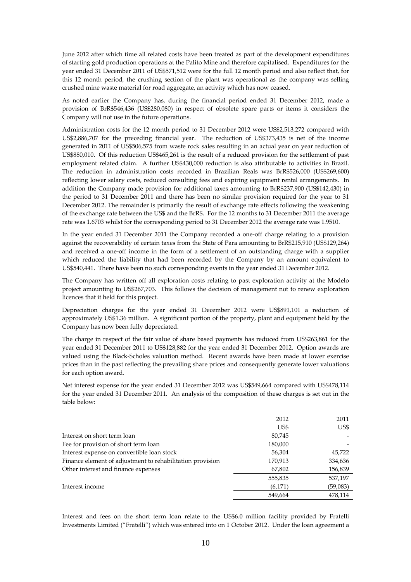June 2012 after which time all related costs have been treated as part of the development expenditures of starting gold production operations at the Palito Mine and therefore capitalised. Expenditures for the year ended 31 December 2011 of US\$571,512 were for the full 12 month period and also reflect that, for this 12 month period, the crushing section of the plant was operational as the company was selling crushed mine waste material for road aggregate, an activity which has now ceased.

As noted earlier the Company has, during the financial period ended 31 December 2012, made a provision of BrR\$546,436 (US\$280,080) in respect of obsolete spare parts or items it considers the Company will not use in the future operations.

Administration costs for the 12 month period to 31 December 2012 were US\$2,513,272 compared with US\$2,886,707 for the preceding financial year. The reduction of US\$373,435 is net of the income generated in 2011 of US\$506,575 from waste rock sales resulting in an actual year on year reduction of US\$880,010. Of this reduction US\$465,261 is the result of a reduced provision for the settlement of past employment related claim. A further US\$430,000 reduction is also attributable to activities in Brazil. The reduction in administration costs recorded in Brazilian Reals was BrR\$526,000 (US\$269,600) reflecting lower salary costs, reduced consulting fees and expiring equipment rental arrangements. In addition the Company made provision for additional taxes amounting to BrR\$237,900 (US\$142,430) in the period to 31 December 2011 and there has been no similar provision required for the year to 31 December 2012. The remainder is primarily the result of exchange rate effects following the weakening of the exchange rate between the US\$ and the BrR\$. For the 12 months to 31 December 2011 the average rate was 1.6703 whilst for the corresponding period to 31 December 2012 the average rate was 1.9510.

In the year ended 31 December 2011 the Company recorded a one-off charge relating to a provision against the recoverability of certain taxes from the State of Para amounting to BrR\$215,910 (US\$129,264) and received a one-off income in the form of a settlement of an outstanding charge with a supplier which reduced the liability that had been recorded by the Company by an amount equivalent to US\$540,441. There have been no such corresponding events in the year ended 31 December 2012.

The Company has written off all exploration costs relating to past exploration activity at the Modelo project amounting to US\$267,703. This follows the decision of management not to renew exploration licences that it held for this project.

Depreciation charges for the year ended 31 December 2012 were US\$891,101 a reduction of approximately US\$1.36 million. A significant portion of the property, plant and equipment held by the Company has now been fully depreciated.

The charge in respect of the fair value of share based payments has reduced from US\$263,861 for the year ended 31 December 2011 to US\$128,882 for the year ended 31 December 2012. Option awards are valued using the Black-Scholes valuation method. Recent awards have been made at lower exercise prices than in the past reflecting the prevailing share prices and consequently generate lower valuations for each option award.

Net interest expense for the year ended 31 December 2012 was US\$549,664 compared with US\$478,114 for the year ended 31 December 2011. An analysis of the composition of these charges is set out in the table below:

|                                                           | 2012    | 2011     |
|-----------------------------------------------------------|---------|----------|
|                                                           | US\$    | US\$     |
| Interest on short term loan                               | 80,745  |          |
| Fee for provision of short term loan                      | 180,000 |          |
| Interest expense on convertible loan stock                | 56,304  | 45,722   |
| Finance element of adjustment to rehabilitation provision | 170,913 | 334,636  |
| Other interest and finance expenses                       | 67,802  | 156,839  |
|                                                           | 555,835 | 537,197  |
| Interest income                                           | (6,171) | (59,083) |
|                                                           | 549,664 | 478,114  |

Interest and fees on the short term loan relate to the US\$6.0 million facility provided by Fratelli Investments Limited ("Fratelli") which was entered into on 1 October 2012. Under the loan agreement a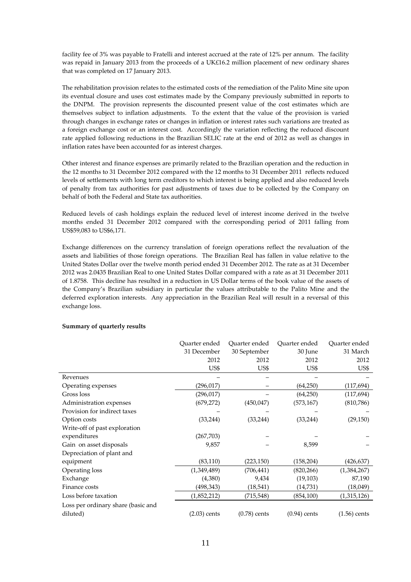facility fee of 3% was payable to Fratelli and interest accrued at the rate of 12% per annum. The facility was repaid in January 2013 from the proceeds of a UK£16.2 million placement of new ordinary shares that was completed on 17 January 2013.

The rehabilitation provision relates to the estimated costs of the remediation of the Palito Mine site upon its eventual closure and uses cost estimates made by the Company previously submitted in reports to the DNPM. The provision represents the discounted present value of the cost estimates which are themselves subject to inflation adjustments. To the extent that the value of the provision is varied through changes in exchange rates or changes in inflation or interest rates such variations are treated as a foreign exchange cost or an interest cost. Accordingly the variation reflecting the reduced discount rate applied following reductions in the Brazilian SELIC rate at the end of 2012 as well as changes in inflation rates have been accounted for as interest charges.

Other interest and finance expenses are primarily related to the Brazilian operation and the reduction in the 12 months to 31 December 2012 compared with the 12 months to 31 December 2011 reflects reduced levels of settlements with long term creditors to which interest is being applied and also reduced levels of penalty from tax authorities for past adjustments of taxes due to be collected by the Company on behalf of both the Federal and State tax authorities.

Reduced levels of cash holdings explain the reduced level of interest income derived in the twelve months ended 31 December 2012 compared with the corresponding period of 2011 falling from US\$59,083 to US\$6,171.

Exchange differences on the currency translation of foreign operations reflect the revaluation of the assets and liabilities of those foreign operations. The Brazilian Real has fallen in value relative to the United States Dollar over the twelve month period ended 31 December 2012. The rate as at 31 December 2012 was 2.0435 Brazilian Real to one United States Dollar compared with a rate as at 31 December 2011 of 1.8758. This decline has resulted in a reduction in US Dollar terms of the book value of the assets of the Company's Brazilian subsidiary in particular the values attributable to the Palito Mine and the deferred exploration interests. Any appreciation in the Brazilian Real will result in a reversal of this exchange loss.

|                                    | Ouarter ended  | Ouarter ended  | Ouarter ended  | Ouarter ended  |
|------------------------------------|----------------|----------------|----------------|----------------|
|                                    | 31 December    | 30 September   | 30 June        | 31 March       |
|                                    | 2012           | 2012           | 2012           | 2012           |
|                                    | US\$           | US\$           | US\$           | US\$           |
| Revenues                           |                |                |                |                |
| Operating expenses                 | (296,017)      |                | (64,250)       | (117, 694)     |
| Gross loss                         | (296,017)      |                | (64,250)       | (117, 694)     |
| Administration expenses            | (679, 272)     | (450, 047)     | (573, 167)     | (810, 786)     |
| Provision for indirect taxes       |                |                |                |                |
| Option costs                       | (33,244)       | (33, 244)      | (33, 244)      | (29, 150)      |
| Write-off of past exploration      |                |                |                |                |
| expenditures                       | (267,703)      |                |                |                |
| Gain on asset disposals            | 9,857          |                | 8,599          |                |
| Depreciation of plant and          |                |                |                |                |
| equipment                          | (83, 110)      | (223,150)      | (158, 204)     | (426,637)      |
| Operating loss                     | (1,349,489)    | (706, 441)     | (820, 266)     | (1,384,267)    |
| Exchange                           | (4,380)        | 9,434          | (19, 103)      | 87,190         |
| Finance costs                      | (498,343)      | (18, 541)      | (14,731)       | (18,049)       |
| Loss before taxation               | (1,852,212)    | (715,548)      | (854, 100)     | (1,315,126)    |
| Loss per ordinary share (basic and |                |                |                |                |
| diluted)                           | $(2.03)$ cents | $(0.78)$ cents | $(0.94)$ cents | $(1.56)$ cents |

# **Summary of quarterly results**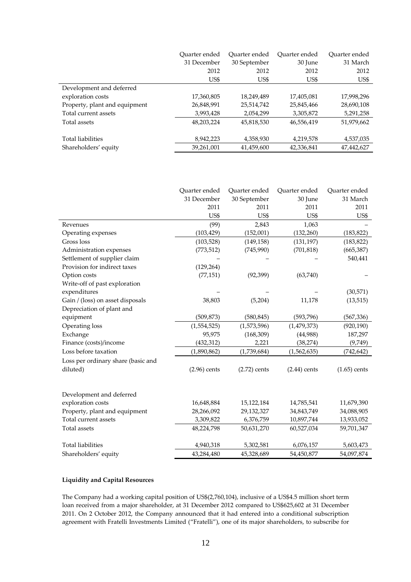|                               | Ouarter ended | Ouarter ended | Ouarter ended | Ouarter ended |
|-------------------------------|---------------|---------------|---------------|---------------|
|                               | 31 December   | 30 September  | 30 June       | 31 March      |
|                               | 2012          | 2012          | 2012          | 2012          |
|                               | US\$          | US\$          | US\$          | US\$          |
| Development and deferred      |               |               |               |               |
| exploration costs             | 17,360,805    | 18,249,489    | 17,405,081    | 17,998,296    |
| Property, plant and equipment | 26,848,991    | 25,514,742    | 25,845,466    | 28,690,108    |
| Total current assets          | 3,993,428     | 2,054,299     | 3,305,872     | 5,291,258     |
| Total assets                  | 48,203,224    | 45,818,530    | 46,556,419    | 51,979,662    |
| <b>Total liabilities</b>      | 8,942,223     | 4,358,930     | 4,219,578     | 4,537,035     |
| Shareholders' equity          | 39,261,001    | 41,459,600    | 42,336,841    | 47,442,627    |

|                                    | Quarter ended  | Quarter ended  | Quarter ended  | Quarter ended  |
|------------------------------------|----------------|----------------|----------------|----------------|
|                                    | 31 December    | 30 September   | 30 June        | 31 March       |
|                                    | 2011           | 2011           | 2011           | 2011           |
|                                    | US\$           | US\$           | US\$           | US\$           |
| Revenues                           | (99)           | 2,843          | 1,063          |                |
| Operating expenses                 | (103, 429)     | (152,001)      | (132, 260)     | (183, 822)     |
| Gross loss                         | (103, 528)     | (149, 158)     | (131, 197)     | (183, 822)     |
| Administration expenses            | (773, 512)     | (745,990)      | (701, 818)     | (665, 387)     |
| Settlement of supplier claim       |                |                |                | 540,441        |
| Provision for indirect taxes       | (129, 264)     |                |                |                |
| Option costs                       | (77, 151)      | (92, 399)      | (63,740)       |                |
| Write-off of past exploration      |                |                |                |                |
| expenditures                       |                |                |                | (30,571)       |
| Gain / (loss) on asset disposals   | 38,803         | (5,204)        | 11,178         | (13, 515)      |
| Depreciation of plant and          |                |                |                |                |
| equipment                          | (509, 873)     | (580, 845)     | (593, 796)     | (567,336)      |
| Operating loss                     | (1,554,525)    | (1,573,596)    | (1, 479, 373)  | (920, 190)     |
| Exchange                           | 95,975         | (168, 309)     | (44,988)       | 187,297        |
| Finance (costs)/income             | (432, 312)     | 2,221          | (38, 274)      | (9,749)        |
| Loss before taxation               | (1,890,862)    | (1,739,684)    | (1,562,635)    | (742, 642)     |
| Loss per ordinary share (basic and |                |                |                |                |
| diluted)                           | $(2.96)$ cents | $(2.72)$ cents | $(2.44)$ cents | $(1.65)$ cents |
|                                    |                |                |                |                |
|                                    |                |                |                |                |
| Development and deferred           |                |                |                |                |
| exploration costs                  | 16,648,884     | 15,122,184     | 14,785,541     | 11,679,390     |
| Property, plant and equipment      | 28,266,092     | 29,132,327     | 34,843,749     | 34,088,905     |
| Total current assets               | 3,309,822      | 6,376,759      | 10,897,744     | 13,933,052     |
| Total assets                       | 48,224,798     | 50,631,270     | 60,527,034     | 59,701,347     |
|                                    |                |                |                |                |
| <b>Total liabilities</b>           | 4,940,318      | 5,302,581      | 6,076,157      | 5,603,473      |
| Shareholders' equity               | 43,284,480     | 45,328,689     | 54,450,877     | 54,097,874     |

# **Liquidity and Capital Resources**

The Company had a working capital position of US\$(2,760,104), inclusive of a US\$4.5 million short term loan received from a major shareholder, at 31 December 2012 compared to US\$625,602 at 31 December 2011. On 2 October 2012, the Company announced that it had entered into a conditional subscription agreement with Fratelli Investments Limited ("Fratelli"), one of its major shareholders, to subscribe for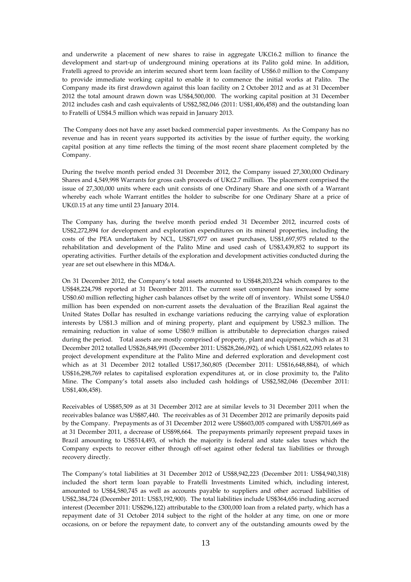and underwrite a placement of new shares to raise in aggregate UK£16.2 million to finance the development and start-up of underground mining operations at its Palito gold mine. In addition, Fratelli agreed to provide an interim secured short term loan facility of US\$6.0 million to the Company to provide immediate working capital to enable it to commence the initial works at Palito. The Company made its first drawdown against this loan facility on 2 October 2012 and as at 31 December 2012 the total amount drawn down was US\$4,500,000. The working capital position at 31 December 2012 includes cash and cash equivalents of US\$2,582,046 (2011: US\$1,406,458) and the outstanding loan to Fratelli of US\$4.5 million which was repaid in January 2013.

 The Company does not have any asset backed commercial paper investments. As the Company has no revenue and has in recent years supported its activities by the issue of further equity, the working capital position at any time reflects the timing of the most recent share placement completed by the Company.

During the twelve month period ended 31 December 2012, the Company issued 27,300,000 Ordinary Shares and 4,549,998 Warrants for gross cash proceeds of UK£2.7 million. The placement comprised the issue of 27,300,000 units where each unit consists of one Ordinary Share and one sixth of a Warrant whereby each whole Warrant entitles the holder to subscribe for one Ordinary Share at a price of UK£0.15 at any time until 23 January 2014.

The Company has, during the twelve month period ended 31 December 2012, incurred costs of US\$2,272,894 for development and exploration expenditures on its mineral properties, including the costs of the PEA undertaken by NCL, US\$71,977 on asset purchases, US\$1,697,975 related to the rehabilitation and development of the Palito Mine and used cash of US\$3,439,852 to support its operating activities. Further details of the exploration and development activities conducted during the year are set out elsewhere in this MD&A.

On 31 December 2012, the Company's total assets amounted to US\$48,203,224 which compares to the US\$48,224,798 reported at 31 December 2011. The current ssset component has increased by some US\$0.60 million reflecting higher cash balances offset by the write off of inventory. Whilst some US\$4.0 million has been expended on non-current assets the devaluation of the Brazilian Real against the United States Dollar has resulted in exchange variations reducing the carrying value of exploration interests by US\$1.3 million and of mining property, plant and equipment by US\$2.3 million. The remaining reduction in value of some US\$0.9 million is attributable to depreciation charges raised during the period. Total assets are mostly comprised of property, plant and equipment, which as at 31 December 2012 totalled US\$26,848,991 (December 2011: US\$28,266,092), of which US\$1,622,093 relates to project development expenditure at the Palito Mine and deferred exploration and development cost which as at 31 December 2012 totalled US\$17,360,805 (December 2011: US\$16,648,884), of which US\$16,298,769 relates to capitalised exploration expenditures at, or in close proximity to, the Palito Mine. The Company's total assets also included cash holdings of US\$2,582,046 (December 2011: US\$1,406,458).

Receivables of US\$85,509 as at 31 December 2012 are at similar levels to 31 December 2011 when the receivables balance was US\$87,440. The receivables as of 31 December 2012 are primarily deposits paid by the Company. Prepayments as of 31 December 2012 were US\$603,005 compared with US\$701,669 as at 31 December 2011, a decrease of US\$98,664. The prepayments primarily represent prepaid taxes in Brazil amounting to US\$514,493, of which the majority is federal and state sales taxes which the Company expects to recover either through off-set against other federal tax liabilities or through recovery directly.

The Company's total liabilities at 31 December 2012 of US\$8,942,223 (December 2011: US\$4,940,318) included the short term loan payable to Fratelli Investments Limited which, including interest, amounted to US\$4,580,745 as well as accounts payable to suppliers and other accrued liabilities of US\$2,384,724 (December 2011: US\$3,192,900). The total liabilities include US\$364,656 including accrued interest (December 2011: US\$296,122) attributable to the £300,000 loan from a related party, which has a repayment date of 31 October 2014 subject to the right of the holder at any time, on one or more occasions, on or before the repayment date, to convert any of the outstanding amounts owed by the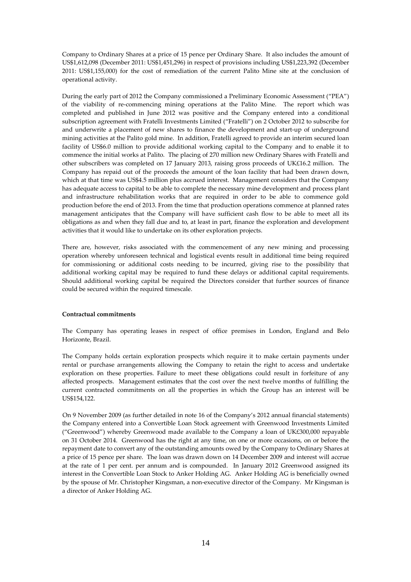Company to Ordinary Shares at a price of 15 pence per Ordinary Share. It also includes the amount of US\$1,612,098 (December 2011: US\$1,451,296) in respect of provisions including US\$1,223,392 (December 2011: US\$1,155,000) for the cost of remediation of the current Palito Mine site at the conclusion of operational activity.

During the early part of 2012 the Company commissioned a Preliminary Economic Assessment ("PEA") of the viability of re-commencing mining operations at the Palito Mine. The report which was completed and published in June 2012 was positive and the Company entered into a conditional subscription agreement with Fratelli Investments Limited ("Fratelli") on 2 October 2012 to subscribe for and underwrite a placement of new shares to finance the development and start-up of underground mining activities at the Palito gold mine. In addition, Fratelli agreed to provide an interim secured loan facility of US\$6.0 million to provide additional working capital to the Company and to enable it to commence the initial works at Palito. The placing of 270 million new Ordinary Shares with Fratelli and other subscribers was completed on 17 January 2013, raising gross proceeds of UK£16.2 million. The Company has repaid out of the proceeds the amount of the loan facility that had been drawn down, which at that time was US\$4.5 million plus accrued interest. Management considers that the Company has adequate access to capital to be able to complete the necessary mine development and process plant and infrastructure rehabilitation works that are required in order to be able to commence gold production before the end of 2013. From the time that production operations commence at planned rates management anticipates that the Company will have sufficient cash flow to be able to meet all its obligations as and when they fall due and to, at least in part, finance the exploration and development activities that it would like to undertake on its other exploration projects.

There are, however, risks associated with the commencement of any new mining and processing operation whereby unforeseen technical and logistical events result in additional time being required for commissioning or additional costs needing to be incurred, giving rise to the possibility that additional working capital may be required to fund these delays or additional capital requirements. Should additional working capital be required the Directors consider that further sources of finance could be secured within the required timescale.

# **Contractual commitments**

The Company has operating leases in respect of office premises in London, England and Belo Horizonte, Brazil.

The Company holds certain exploration prospects which require it to make certain payments under rental or purchase arrangements allowing the Company to retain the right to access and undertake exploration on these properties. Failure to meet these obligations could result in forfeiture of any affected prospects. Management estimates that the cost over the next twelve months of fulfilling the current contracted commitments on all the properties in which the Group has an interest will be US\$154,122.

On 9 November 2009 (as further detailed in note 16 of the Company's 2012 annual financial statements) the Company entered into a Convertible Loan Stock agreement with Greenwood Investments Limited ("Greenwood") whereby Greenwood made available to the Company a loan of UK£300,000 repayable on 31 October 2014. Greenwood has the right at any time, on one or more occasions, on or before the repayment date to convert any of the outstanding amounts owed by the Company to Ordinary Shares at a price of 15 pence per share. The loan was drawn down on 14 December 2009 and interest will accrue at the rate of 1 per cent. per annum and is compounded. In January 2012 Greenwood assigned its interest in the Convertible Loan Stock to Anker Holding AG. Anker Holding AG is beneficially owned by the spouse of Mr. Christopher Kingsman, a non-executive director of the Company. Mr Kingsman is a director of Anker Holding AG.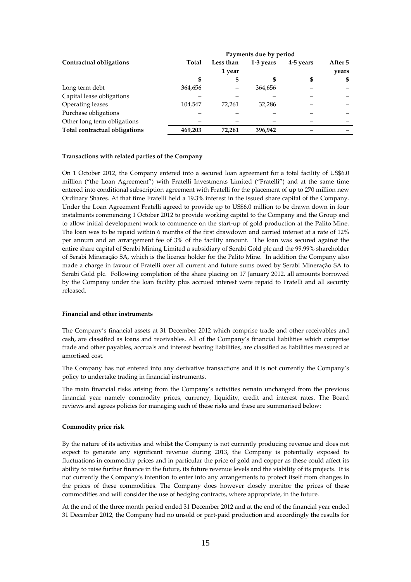|                               | Payments due by period |           |           |           |         |
|-------------------------------|------------------------|-----------|-----------|-----------|---------|
| Contractual obligations       | Total                  | Less than | 1-3 years | 4-5 years | After 5 |
|                               |                        | 1 year    |           |           | years   |
|                               | S                      | \$        |           | \$        | \$      |
| Long term debt                | 364,656                |           | 364,656   |           |         |
| Capital lease obligations     |                        |           |           |           |         |
| Operating leases              | 104.547                | 72.261    | 32.286    |           |         |
| Purchase obligations          |                        |           |           |           |         |
| Other long term obligations   |                        |           |           |           |         |
| Total contractual obligations | 469,203                | 72,261    | 396.942   |           |         |

#### **Transactions with related parties of the Company**

On 1 October 2012, the Company entered into a secured loan agreement for a total facility of US\$6.0 million ("the Loan Agreement") with Fratelli Investments Limited ("Fratelli") and at the same time entered into conditional subscription agreement with Fratelli for the placement of up to 270 million new Ordinary Shares. At that time Fratelli held a 19.3% interest in the issued share capital of the Company. Under the Loan Agreement Fratelli agreed to provide up to US\$6.0 million to be drawn down in four instalments commencing 1 October 2012 to provide working capital to the Company and the Group and to allow initial development work to commence on the start-up of gold production at the Palito Mine. The loan was to be repaid within 6 months of the first drawdown and carried interest at a rate of 12% per annum and an arrangement fee of 3% of the facility amount. The loan was secured against the entire share capital of Serabi Mining Limited a subsidiary of Serabi Gold plc and the 99.99% shareholder of Serabi Mineraçăo SA, which is the licence holder for the Palito Mine. In addition the Company also made a charge in favour of Fratelli over all current and future sums owed by Serabi Mineraçăo SA to Serabi Gold plc. Following completion of the share placing on 17 January 2012, all amounts borrowed by the Company under the loan facility plus accrued interest were repaid to Fratelli and all security released.

#### **Financial and other instruments**

The Company's financial assets at 31 December 2012 which comprise trade and other receivables and cash, are classified as loans and receivables. All of the Company's financial liabilities which comprise trade and other payables, accruals and interest bearing liabilities, are classified as liabilities measured at amortised cost.

The Company has not entered into any derivative transactions and it is not currently the Company's policy to undertake trading in financial instruments.

The main financial risks arising from the Company's activities remain unchanged from the previous financial year namely commodity prices, currency, liquidity, credit and interest rates. The Board reviews and agrees policies for managing each of these risks and these are summarised below:

#### **Commodity price risk**

By the nature of its activities and whilst the Company is not currently producing revenue and does not expect to generate any significant revenue during 2013, the Company is potentially exposed to fluctuations in commodity prices and in particular the price of gold and copper as these could affect its ability to raise further finance in the future, its future revenue levels and the viability of its projects. It is not currently the Company's intention to enter into any arrangements to protect itself from changes in the prices of these commodities. The Company does however closely monitor the prices of these commodities and will consider the use of hedging contracts, where appropriate, in the future.

At the end of the three month period ended 31 December 2012 and at the end of the financial year ended 31 December 2012, the Company had no unsold or part-paid production and accordingly the results for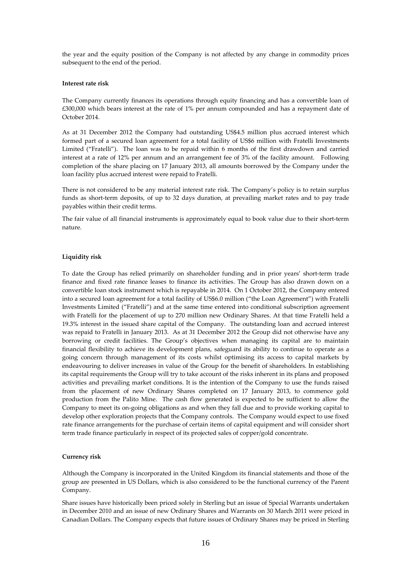the year and the equity position of the Company is not affected by any change in commodity prices subsequent to the end of the period.

#### **Interest rate risk**

The Company currently finances its operations through equity financing and has a convertible loan of £300,000 which bears interest at the rate of 1% per annum compounded and has a repayment date of October 2014.

As at 31 December 2012 the Company had outstanding US\$4.5 million plus accrued interest which formed part of a secured loan agreement for a total facility of US\$6 million with Fratelli Investments Limited ("Fratelli"). The loan was to be repaid within 6 months of the first drawdown and carried interest at a rate of 12% per annum and an arrangement fee of 3% of the facility amount. Following completion of the share placing on 17 January 2013, all amounts borrowed by the Company under the loan facility plus accrued interest were repaid to Fratelli.

There is not considered to be any material interest rate risk. The Company's policy is to retain surplus funds as short-term deposits, of up to 32 days duration, at prevailing market rates and to pay trade payables within their credit terms.

The fair value of all financial instruments is approximately equal to book value due to their short-term nature.

#### **Liquidity risk**

To date the Group has relied primarily on shareholder funding and in prior years' short-term trade finance and fixed rate finance leases to finance its activities. The Group has also drawn down on a convertible loan stock instrument which is repayable in 2014. On 1 October 2012, the Company entered into a secured loan agreement for a total facility of US\$6.0 million ("the Loan Agreement") with Fratelli Investments Limited ("Fratelli") and at the same time entered into conditional subscription agreement with Fratelli for the placement of up to 270 million new Ordinary Shares. At that time Fratelli held a 19.3% interest in the issued share capital of the Company. The outstanding loan and accrued interest was repaid to Fratelli in January 2013. As at 31 December 2012 the Group did not otherwise have any borrowing or credit facilities. The Group's objectives when managing its capital are to maintain financial flexibility to achieve its development plans, safeguard its ability to continue to operate as a going concern through management of its costs whilst optimising its access to capital markets by endeavouring to deliver increases in value of the Group for the benefit of shareholders. In establishing its capital requirements the Group will try to take account of the risks inherent in its plans and proposed activities and prevailing market conditions. It is the intention of the Company to use the funds raised from the placement of new Ordinary Shares completed on 17 January 2013, to commence gold production from the Palito Mine. The cash flow generated is expected to be sufficient to allow the Company to meet its on-going obligations as and when they fall due and to provide working capital to develop other exploration projects that the Company controls. The Company would expect to use fixed rate finance arrangements for the purchase of certain items of capital equipment and will consider short term trade finance particularly in respect of its projected sales of copper/gold concentrate.

#### **Currency risk**

Although the Company is incorporated in the United Kingdom its financial statements and those of the group are presented in US Dollars, which is also considered to be the functional currency of the Parent Company.

Share issues have historically been priced solely in Sterling but an issue of Special Warrants undertaken in December 2010 and an issue of new Ordinary Shares and Warrants on 30 March 2011 were priced in Canadian Dollars. The Company expects that future issues of Ordinary Shares may be priced in Sterling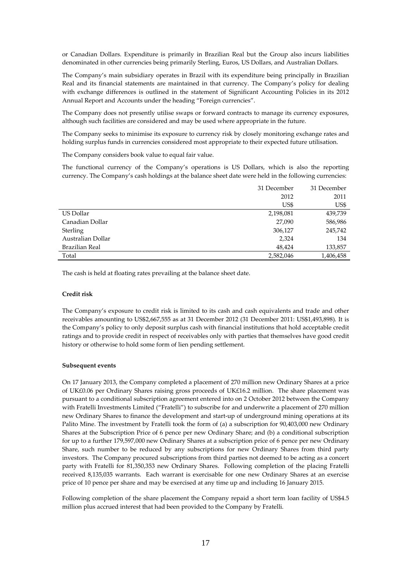or Canadian Dollars. Expenditure is primarily in Brazilian Real but the Group also incurs liabilities denominated in other currencies being primarily Sterling, Euros, US Dollars, and Australian Dollars.

The Company's main subsidiary operates in Brazil with its expenditure being principally in Brazilian Real and its financial statements are maintained in that currency. The Company's policy for dealing with exchange differences is outlined in the statement of Significant Accounting Policies in its 2012 Annual Report and Accounts under the heading "Foreign currencies".

The Company does not presently utilise swaps or forward contracts to manage its currency exposures, although such facilities are considered and may be used where appropriate in the future.

The Company seeks to minimise its exposure to currency risk by closely monitoring exchange rates and holding surplus funds in currencies considered most appropriate to their expected future utilisation.

The Company considers book value to equal fair value.

The functional currency of the Company's operations is US Dollars, which is also the reporting currency. The Company's cash holdings at the balance sheet date were held in the following currencies:

|                   | 31 December | 31 December |
|-------------------|-------------|-------------|
|                   | 2012        | 2011        |
|                   | US\$        | US\$        |
| US Dollar         | 2,198,081   | 439,739     |
| Canadian Dollar   | 27,090      | 586,986     |
| Sterling          | 306,127     | 245,742     |
| Australian Dollar | 2,324       | 134         |
| Brazilian Real    | 48.424      | 133,857     |
| Total             | 2,582,046   | 1,406,458   |

The cash is held at floating rates prevailing at the balance sheet date.

#### **Credit risk**

The Company's exposure to credit risk is limited to its cash and cash equivalents and trade and other receivables amounting to US\$2,667,555 as at 31 December 2012 (31 December 2011: US\$1,493,898). It is the Company's policy to only deposit surplus cash with financial institutions that hold acceptable credit ratings and to provide credit in respect of receivables only with parties that themselves have good credit history or otherwise to hold some form of lien pending settlement.

#### **Subsequent events**

On 17 January 2013, the Company completed a placement of 270 million new Ordinary Shares at a price of UK£0.06 per Ordinary Shares raising gross proceeds of UK£16.2 million. The share placement was pursuant to a conditional subscription agreement entered into on 2 October 2012 between the Company with Fratelli Investments Limited ("Fratelli") to subscribe for and underwrite a placement of 270 million new Ordinary Shares to finance the development and start-up of underground mining operations at its Palito Mine. The investment by Fratelli took the form of (a) a subscription for 90,403,000 new Ordinary Shares at the Subscription Price of 6 pence per new Ordinary Share; and (b) a conditional subscription for up to a further 179,597,000 new Ordinary Shares at a subscription price of 6 pence per new Ordinary Share, such number to be reduced by any subscriptions for new Ordinary Shares from third party investors. The Company procured subscriptions from third parties not deemed to be acting as a concert party with Fratelli for 81,350,353 new Ordinary Shares. Following completion of the placing Fratelli received 8,135,035 warrants. Each warrant is exercisable for one new Ordinary Shares at an exercise price of 10 pence per share and may be exercised at any time up and including 16 January 2015.

Following completion of the share placement the Company repaid a short term loan facility of US\$4.5 million plus accrued interest that had been provided to the Company by Fratelli.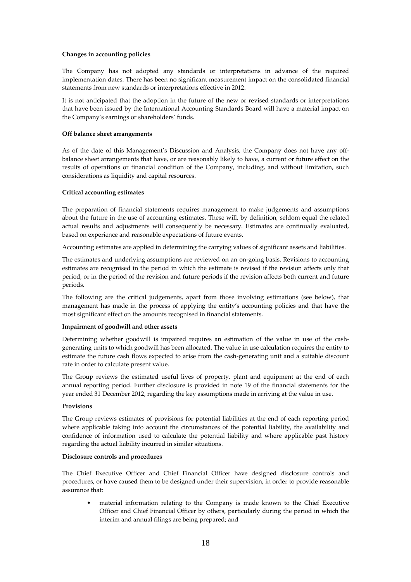## **Changes in accounting policies**

The Company has not adopted any standards or interpretations in advance of the required implementation dates. There has been no significant measurement impact on the consolidated financial statements from new standards or interpretations effective in 2012.

It is not anticipated that the adoption in the future of the new or revised standards or interpretations that have been issued by the International Accounting Standards Board will have a material impact on the Company's earnings or shareholders' funds.

## **Off balance sheet arrangements**

As of the date of this Management's Discussion and Analysis, the Company does not have any offbalance sheet arrangements that have, or are reasonably likely to have, a current or future effect on the results of operations or financial condition of the Company, including, and without limitation, such considerations as liquidity and capital resources.

# **Critical accounting estimates**

The preparation of financial statements requires management to make judgements and assumptions about the future in the use of accounting estimates. These will, by definition, seldom equal the related actual results and adjustments will consequently be necessary. Estimates are continually evaluated, based on experience and reasonable expectations of future events.

Accounting estimates are applied in determining the carrying values of significant assets and liabilities.

The estimates and underlying assumptions are reviewed on an on-going basis. Revisions to accounting estimates are recognised in the period in which the estimate is revised if the revision affects only that period, or in the period of the revision and future periods if the revision affects both current and future periods.

The following are the critical judgements, apart from those involving estimations (see below), that management has made in the process of applying the entity's accounting policies and that have the most significant effect on the amounts recognised in financial statements.

# **Impairment of goodwill and other assets**

Determining whether goodwill is impaired requires an estimation of the value in use of the cashgenerating units to which goodwill has been allocated. The value in use calculation requires the entity to estimate the future cash flows expected to arise from the cash-generating unit and a suitable discount rate in order to calculate present value.

The Group reviews the estimated useful lives of property, plant and equipment at the end of each annual reporting period. Further disclosure is provided in note 19 of the financial statements for the year ended 31 December 2012, regarding the key assumptions made in arriving at the value in use.

### **Provisions**

The Group reviews estimates of provisions for potential liabilities at the end of each reporting period where applicable taking into account the circumstances of the potential liability, the availability and confidence of information used to calculate the potential liability and where applicable past history regarding the actual liability incurred in similar situations.

### **Disclosure controls and procedures**

The Chief Executive Officer and Chief Financial Officer have designed disclosure controls and procedures, or have caused them to be designed under their supervision, in order to provide reasonable assurance that:

• material information relating to the Company is made known to the Chief Executive Officer and Chief Financial Officer by others, particularly during the period in which the interim and annual filings are being prepared; and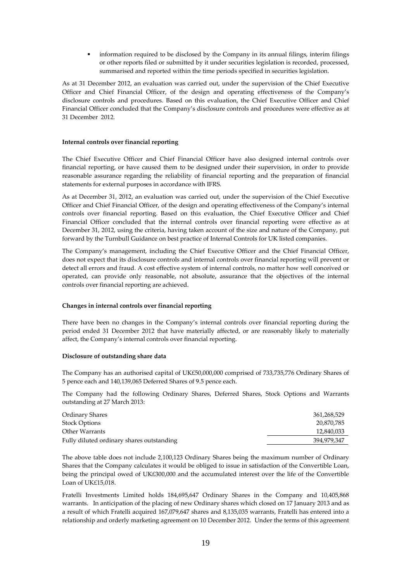• information required to be disclosed by the Company in its annual filings, interim filings or other reports filed or submitted by it under securities legislation is recorded, processed, summarised and reported within the time periods specified in securities legislation.

As at 31 December 2012, an evaluation was carried out, under the supervision of the Chief Executive Officer and Chief Financial Officer, of the design and operating effectiveness of the Company's disclosure controls and procedures. Based on this evaluation, the Chief Executive Officer and Chief Financial Officer concluded that the Company's disclosure controls and procedures were effective as at 31 December 2012.

## **Internal controls over financial reporting**

The Chief Executive Officer and Chief Financial Officer have also designed internal controls over financial reporting, or have caused them to be designed under their supervision, in order to provide reasonable assurance regarding the reliability of financial reporting and the preparation of financial statements for external purposes in accordance with IFRS.

As at December 31, 2012, an evaluation was carried out, under the supervision of the Chief Executive Officer and Chief Financial Officer, of the design and operating effectiveness of the Company's internal controls over financial reporting. Based on this evaluation, the Chief Executive Officer and Chief Financial Officer concluded that the internal controls over financial reporting were effective as at December 31, 2012, using the criteria, having taken account of the size and nature of the Company, put forward by the Turnbull Guidance on best practice of Internal Controls for UK listed companies.

The Company's management, including the Chief Executive Officer and the Chief Financial Officer, does not expect that its disclosure controls and internal controls over financial reporting will prevent or detect all errors and fraud. A cost effective system of internal controls, no matter how well conceived or operated, can provide only reasonable, not absolute, assurance that the objectives of the internal controls over financial reporting are achieved.

# **Changes in internal controls over financial reporting**

There have been no changes in the Company's internal controls over financial reporting during the period ended 31 December 2012 that have materially affected, or are reasonably likely to materially affect, the Company's internal controls over financial reporting.

### **Disclosure of outstanding share data**

The Company has an authorised capital of UK£50,000,000 comprised of 733,735,776 Ordinary Shares of 5 pence each and 140,139,065 Deferred Shares of 9.5 pence each.

The Company had the following Ordinary Shares, Deferred Shares, Stock Options and Warrants outstanding at 27 March 2013:

| Ordinary Shares                           | 361,268,529 |
|-------------------------------------------|-------------|
| <b>Stock Options</b>                      | 20.870.785  |
| Other Warrants                            | 12,840,033  |
| Fully diluted ordinary shares outstanding | 394.979.347 |

The above table does not include 2,100,123 Ordinary Shares being the maximum number of Ordinary Shares that the Company calculates it would be obliged to issue in satisfaction of the Convertible Loan, being the principal owed of UK£300,000 and the accumulated interest over the life of the Convertible Loan of UK£15,018.

Fratelli Investments Limited holds 184,695,647 Ordinary Shares in the Company and 10,405,868 warrants. In anticipation of the placing of new Ordinary shares which closed on 17 January 2013 and as a result of which Fratelli acquired 167,079,647 shares and 8,135,035 warrants, Fratelli has entered into a relationship and orderly marketing agreement on 10 December 2012. Under the terms of this agreement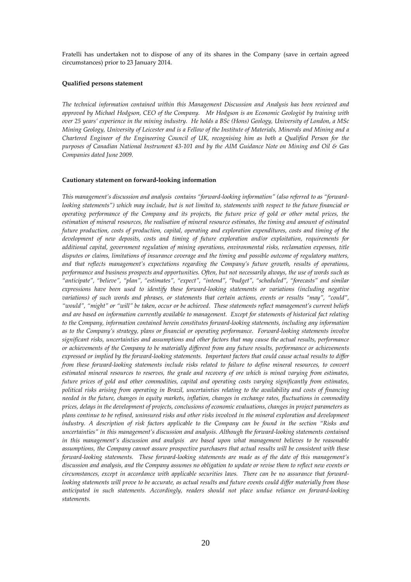Fratelli has undertaken not to dispose of any of its shares in the Company (save in certain agreed circumstances) prior to 23 January 2014.

#### **Qualified persons statement**

*The technical information contained within this Management Discussion and Analysis has been reviewed and approved by Michael Hodgson, CEO of the Company. Mr Hodgson is an Economic Geologist by training with over 25 years' experience in the mining industry. He holds a BSc (Hons) Geology, University of London, a MSc Mining Geology, University of Leicester and is a Fellow of the Institute of Materials, Minerals and Mining and a Chartered Engineer of the Engineering Council of UK, recognising him as both a Qualified Person for the purposes of Canadian National Instrument 43-101 and by the AIM Guidance Note on Mining and Oil & Gas Companies dated June 2009.* 

#### **Cautionary statement on forward-looking information**

*This management's discussion and analysis contains "forward-looking information" (also referred to as "forwardlooking statements") which may include, but is not limited to, statements with respect to the future financial or operating performance of the Company and its projects, the future price of gold or other metal prices, the estimation of mineral resources, the realisation of mineral resource estimates, the timing and amount of estimated future production, costs of production, capital, operating and exploration expenditures, costs and timing of the development of new deposits, costs and timing of future exploration and/or exploitation, requirements for additional capital, government regulation of mining operations, environmental risks, reclamation expenses, title disputes or claims, limitations of insurance coverage and the timing and possible outcome of regulatory matters, and that reflects management's expectations regarding the Company's future growth, results of operations, performance and business prospects and opportunities. Often, but not necessarily always, the use of words such as "anticipate", "believe", "plan", "estimates", "expect", "intend", "budget", "scheduled", "forecasts" and similar expressions have been used to identify these forward-looking statements or variations (including negative variations) of such words and phrases, or statements that certain actions, events or results "may", "could", "would", "might" or "will" be taken, occur or be achieved. These statements reflect management's current beliefs and are based on information currently available to management. Except for statements of historical fact relating to the Company, information contained herein constitutes forward-looking statements, including any information as to the Company's strategy, plans or financial or operating performance. Forward-looking statements involve significant risks, uncertainties and assumptions and other factors that may cause the actual results, performance or achievements of the Company to be materially different from any future results, performance or achievements expressed or implied by the forward-looking statements. Important factors that could cause actual results to differ from these forward-looking statements include risks related to failure to define mineral resources, to convert estimated mineral resources to reserves, the grade and recovery of ore which is mined varying from estimates, future prices of gold and other commodities, capital and operating costs varying significantly from estimates, political risks arising from operating in Brazil, uncertainties relating to the availability and costs of financing needed in the future, changes in equity markets, inflation, changes in exchange rates, fluctuations in commodity prices, delays in the development of projects, conclusions of economic evaluations, changes in project parameters as plans continue to be refined, uninsured risks and other risks involved in the mineral exploration and development industry. A description of risk factors applicable to the Company can be found in the section "Risks and uncertainties" in this management's discussion and analysis. Although the forward-looking statements contained in this management's discussion and analysis are based upon what management believes to be reasonable assumptions, the Company cannot assure prospective purchasers that actual results will be consistent with these forward-looking statements. These forward-looking statements are made as of the date of this management's discussion and analysis, and the Company assumes no obligation to update or revise them to reflect new events or circumstances, except in accordance with applicable securities laws. There can be no assurance that forwardlooking statements will prove to be accurate, as actual results and future events could differ materially from those anticipated in such statements. Accordingly, readers should not place undue reliance on forward-looking statements.*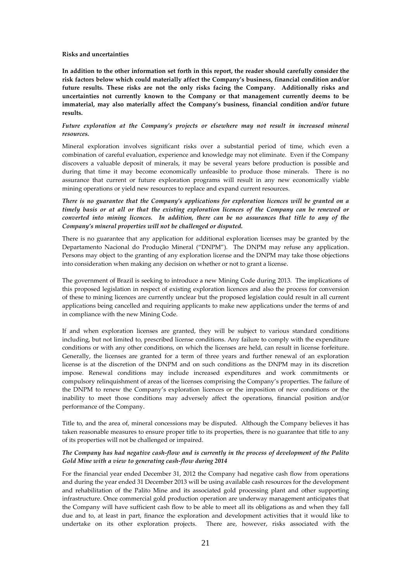#### **Risks and uncertainties**

**In addition to the other information set forth in this report, the reader should carefully consider the risk factors below which could materially affect the Company's business, financial condition and/or future results. These risks are not the only risks facing the Company. Additionally risks and uncertainties not currently known to the Company or that management currently deems to be immaterial, may also materially affect the Company's business, financial condition and/or future results.** 

# *Future exploration at the Company's projects or elsewhere may not result in increased mineral resources.*

Mineral exploration involves significant risks over a substantial period of time, which even a combination of careful evaluation, experience and knowledge may not eliminate. Even if the Company discovers a valuable deposit of minerals, it may be several years before production is possible and during that time it may become economically unfeasible to produce those minerals. There is no assurance that current or future exploration programs will result in any new economically viable mining operations or yield new resources to replace and expand current resources.

*There is no guarantee that the Company's applications for exploration licences will be granted on a timely basis or at all or that the existing exploration licences of the Company can be renewed or converted into mining licences. In addition, there can be no assurances that title to any of the Company's mineral properties will not be challenged or disputed.* 

There is no guarantee that any application for additional exploration licenses may be granted by the Departamento Nacional do Produçăo Mineral ("DNPM"). The DNPM may refuse any application. Persons may object to the granting of any exploration license and the DNPM may take those objections into consideration when making any decision on whether or not to grant a license.

The government of Brazil is seeking to introduce a new Mining Code during 2013. The implications of this proposed legislation in respect of existing exploration licences and also the process for conversion of these to mining licences are currently unclear but the proposed legislation could result in all current applications being cancelled and requiring applicants to make new applications under the terms of and in compliance with the new Mining Code.

If and when exploration licenses are granted, they will be subject to various standard conditions including, but not limited to, prescribed license conditions. Any failure to comply with the expenditure conditions or with any other conditions, on which the licenses are held, can result in license forfeiture. Generally, the licenses are granted for a term of three years and further renewal of an exploration license is at the discretion of the DNPM and on such conditions as the DNPM may in its discretion impose. Renewal conditions may include increased expenditures and work commitments or compulsory relinquishment of areas of the licenses comprising the Company's properties. The failure of the DNPM to renew the Company's exploration licences or the imposition of new conditions or the inability to meet those conditions may adversely affect the operations, financial position and/or performance of the Company.

Title to, and the area of, mineral concessions may be disputed. Although the Company believes it has taken reasonable measures to ensure proper title to its properties, there is no guarantee that title to any of its properties will not be challenged or impaired.

# *The Company has had negative cash-flow and is currently in the process of development of the Palito Gold Mine with a view to generating cash-flow during 2014*

For the financial year ended December 31, 2012 the Company had negative cash flow from operations and during the year ended 31 December 2013 will be using available cash resources for the development and rehabilitation of the Palito Mine and its associated gold processing plant and other supporting infrastructure. Once commercial gold production operation are underway management anticipates that the Company will have sufficient cash flow to be able to meet all its obligations as and when they fall due and to, at least in part, finance the exploration and development activities that it would like to undertake on its other exploration projects. There are, however, risks associated with the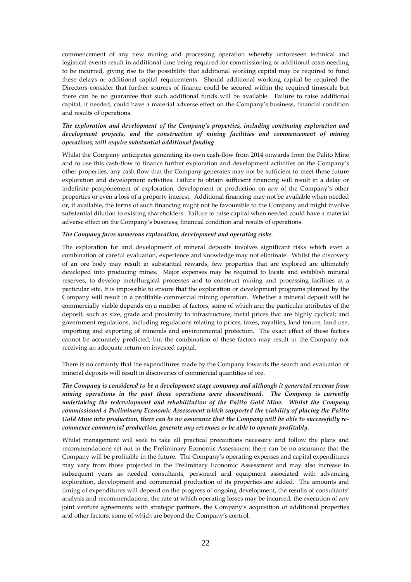commencement of any new mining and processing operation whereby unforeseen technical and logistical events result in additional time being required for commissioning or additional costs needing to be incurred, giving rise to the possibility that additional working capital may be required to fund these delays or additional capital requirements. Should additional working capital be required the Directors consider that further sources of finance could be secured within the required timescale but there can be no guarantee that such additional funds will be available. Failure to raise additional capital, if needed, could have a material adverse effect on the Company's business, financial condition and results of operations.

# *The exploration and development of the Company's properties, including continuing exploration and development projects, and the construction of mining facilities and commencement of mining operations, will require substantial additional funding*

Whilst the Company anticipates generating its own cash-flow from 2014 onwards from the Palito Mine and to use this cash-flow to finance further exploration and development activities on the Company's other properties, any cash flow that the Company generates may not be sufficient to meet these future exploration and development activities. Failure to obtain sufficient financing will result in a delay or indefinite postponement of exploration, development or production on any of the Company's other properties or even a loss of a property interest. Additional financing may not be available when needed or, if available, the terms of such financing might not be favourable to the Company and might involve substantial dilution to existing shareholders. Failure to raise capital when needed could have a material adverse effect on the Company's business, financial condition and results of operations.

### *The Company faces numerous exploration, development and operating risks.*

The exploration for and development of mineral deposits involves significant risks which even a combination of careful evaluation, experience and knowledge may not eliminate. Whilst the discovery of an ore body may result in substantial rewards, few properties that are explored are ultimately developed into producing mines. Major expenses may be required to locate and establish mineral reserves, to develop metallurgical processes and to construct mining and processing facilities at a particular site. It is impossible to ensure that the exploration or development programs planned by the Company will result in a profitable commercial mining operation. Whether a mineral deposit will be commercially viable depends on a number of factors, some of which are: the particular attributes of the deposit, such as size, grade and proximity to infrastructure; metal prices that are highly cyclical; and government regulations, including regulations relating to prices, taxes, royalties, land tenure, land use, importing and exporting of minerals and environmental protection. The exact effect of these factors cannot be accurately predicted, but the combination of these factors may result in the Company not receiving an adequate return on invested capital.

There is no certainty that the expenditures made by the Company towards the search and evaluation of mineral deposits will result in discoveries of commercial quantities of ore.

*The Company is considered to be a development stage company and although it generated revenue from mining operations in the past those operations were discontinued. The Company is currently undertaking the redevelopment and rehabilitation of the Palito Gold Mine. Whilst the Company commissioned a Preliminary Economic Assessment which supported the viability of placing the Palito Gold Mine into production, there can be no assurance that the Company will be able to successfully recommence commercial production, generate any revenues or be able to operate profitably.* 

Whilst management will seek to take all practical precautions necessary and follow the plans and recommendations set out in the Preliminary Economic Assessment there can be no assurance that the Company will be profitable in the future. The Company's operating expenses and capital expenditures may vary from those projected in the Preliminary Economic Assessment and may also increase in subsequent years as needed consultants, personnel and equipment associated with advancing exploration, development and commercial production of its properties are added. The amounts and timing of expenditures will depend on the progress of ongoing development, the results of consultants' analysis and recommendations, the rate at which operating losses may be incurred, the execution of any joint venture agreements with strategic partners, the Company's acquisition of additional properties and other factors, some of which are beyond the Company's control.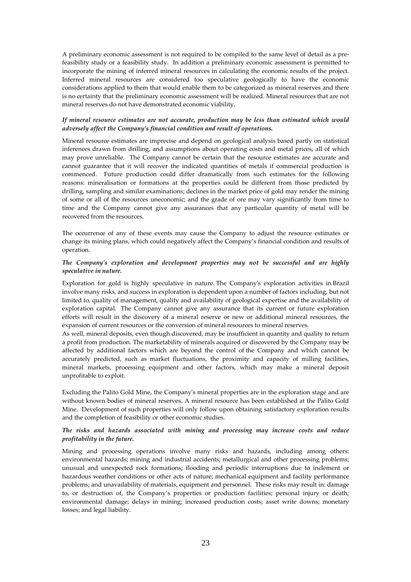A preliminary economic assessment is not required to be compiled to the same level of detail as a prefeasibility study or a feasibility study. In addition a preliminary economic assessment is permitted to incorporate the mining of inferred mineral resources in calculating the economic results of the project. Inferred mineral resources are considered too speculative geologically to have the economic considerations applied to them that would enable them to be categorized as mineral reserves and there is no certainty that the preliminary economic assessment will be realized. Mineral resources that are not mineral reserves do not have demonstrated economic viability.

# *If mineral resource estimates are not accurate, production may be less than estimated which would adversely affect the Company's financial condition and result of operations.*

Mineral resource estimates are imprecise and depend on geological analysis based partly on statistical inferences drawn from drilling, and assumptions about operating costs and metal prices, all of which may prove unreliable. The Company cannot be certain that the resource estimates are accurate and cannot guarantee that it will recover the indicated quantities of metals if commercial production is commenced. Future production could differ dramatically from such estimates for the following reasons: mineralisation or formations at the properties could be different from those predicted by drilling, sampling and similar examinations; declines in the market price of gold may render the mining of some or all of the resources uneconomic; and the grade of ore may vary significantly from time to time and the Company cannot give any assurances that any particular quantity of metal will be recovered from the resources.

The occurrence of any of these events may cause the Company to adjust the resource estimates or change its mining plans, which could negatively affect the Company's financial condition and results of operation.

# *The Company's exploration and development properties may not be successful and are highly speculative in nature.*

Exploration for gold is highly speculative in nature. The Company's exploration activities in Brazil involve many risks, and success in exploration is dependent upon a number of factors including, but not limited to, quality of management, quality and availability of geological expertise and the availability of exploration capital. The Company cannot give any assurance that its current or future exploration efforts will result in the discovery of a mineral reserve or new or additional mineral resources, the expansion of current resources or the conversion of mineral resources to mineral reserves.

As well, mineral deposits, even though discovered, may be insufficient in quantity and quality to return a profit from production. The marketability of minerals acquired or discovered by the Company may be affected by additional factors which are beyond the control of the Company and which cannot be accurately predicted, such as market fluctuations, the proximity and capacity of milling facilities, mineral markets, processing equipment and other factors, which may make a mineral deposit unprofitable to exploit.

Excluding the Palito Gold Mine, the Company's mineral properties are in the exploration stage and are without known bodies of mineral reserves. A mineral resource has been established at the Palito Gold Mine. Development of such properties will only follow upon obtaining satisfactory exploration results and the completion of feasibility or other economic studies.

# *The risks and hazards associated with mining and processing may increase costs and reduce profitability in the future.*

Mining and processing operations involve many risks and hazards, including among others: environmental hazards; mining and industrial accidents; metallurgical and other processing problems; unusual and unexpected rock formations; flooding and periodic interruptions due to inclement or hazardous weather conditions or other acts of nature; mechanical equipment and facility performance problems; and unavailability of materials, equipment and personnel. These risks may result in: damage to, or destruction of, the Company's properties or production facilities; personal injury or death; environmental damage; delays in mining; increased production costs; asset write downs; monetary losses; and legal liability.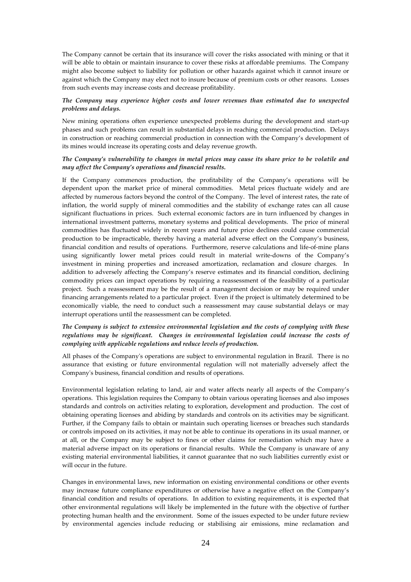The Company cannot be certain that its insurance will cover the risks associated with mining or that it will be able to obtain or maintain insurance to cover these risks at affordable premiums. The Company might also become subject to liability for pollution or other hazards against which it cannot insure or against which the Company may elect not to insure because of premium costs or other reasons. Losses from such events may increase costs and decrease profitability.

# *The Company may experience higher costs and lower revenues than estimated due to unexpected problems and delays.*

New mining operations often experience unexpected problems during the development and start-up phases and such problems can result in substantial delays in reaching commercial production. Delays in construction or reaching commercial production in connection with the Company's development of its mines would increase its operating costs and delay revenue growth.

# *The Company's vulnerability to changes in metal prices may cause its share price to be volatile and may affect the Company's operations and financial results.*

If the Company commences production, the profitability of the Company's operations will be dependent upon the market price of mineral commodities. Metal prices fluctuate widely and are affected by numerous factors beyond the control of the Company. The level of interest rates, the rate of inflation, the world supply of mineral commodities and the stability of exchange rates can all cause significant fluctuations in prices. Such external economic factors are in turn influenced by changes in international investment patterns, monetary systems and political developments. The price of mineral commodities has fluctuated widely in recent years and future price declines could cause commercial production to be impracticable, thereby having a material adverse effect on the Company's business, financial condition and results of operations. Furthermore, reserve calculations and life-of-mine plans using significantly lower metal prices could result in material write-downs of the Company's investment in mining properties and increased amortization, reclamation and closure charges. In addition to adversely affecting the Company's reserve estimates and its financial condition, declining commodity prices can impact operations by requiring a reassessment of the feasibility of a particular project. Such a reassessment may be the result of a management decision or may be required under financing arrangements related to a particular project. Even if the project is ultimately determined to be economically viable, the need to conduct such a reassessment may cause substantial delays or may interrupt operations until the reassessment can be completed.

# *The Company is subject to extensive environmental legislation and the costs of complying with these regulations may be significant. Changes in environmental legislation could increase the costs of complying with applicable regulations and reduce levels of production.*

All phases of the Company's operations are subject to environmental regulation in Brazil. There is no assurance that existing or future environmental regulation will not materially adversely affect the Company's business, financial condition and results of operations.

Environmental legislation relating to land, air and water affects nearly all aspects of the Company's operations. This legislation requires the Company to obtain various operating licenses and also imposes standards and controls on activities relating to exploration, development and production. The cost of obtaining operating licenses and abiding by standards and controls on its activities may be significant. Further, if the Company fails to obtain or maintain such operating licenses or breaches such standards or controls imposed on its activities, it may not be able to continue its operations in its usual manner, or at all, or the Company may be subject to fines or other claims for remediation which may have a material adverse impact on its operations or financial results. While the Company is unaware of any existing material environmental liabilities, it cannot guarantee that no such liabilities currently exist or will occur in the future.

Changes in environmental laws, new information on existing environmental conditions or other events may increase future compliance expenditures or otherwise have a negative effect on the Company's financial condition and results of operations. In addition to existing requirements, it is expected that other environmental regulations will likely be implemented in the future with the objective of further protecting human health and the environment. Some of the issues expected to be under future review by environmental agencies include reducing or stabilising air emissions, mine reclamation and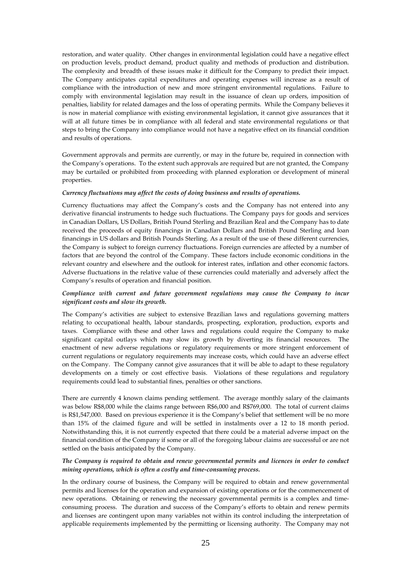restoration, and water quality. Other changes in environmental legislation could have a negative effect on production levels, product demand, product quality and methods of production and distribution. The complexity and breadth of these issues make it difficult for the Company to predict their impact. The Company anticipates capital expenditures and operating expenses will increase as a result of compliance with the introduction of new and more stringent environmental regulations. Failure to comply with environmental legislation may result in the issuance of clean up orders, imposition of penalties, liability for related damages and the loss of operating permits. While the Company believes it is now in material compliance with existing environmental legislation, it cannot give assurances that it will at all future times be in compliance with all federal and state environmental regulations or that steps to bring the Company into compliance would not have a negative effect on its financial condition and results of operations.

Government approvals and permits are currently, or may in the future be, required in connection with the Company's operations. To the extent such approvals are required but are not granted, the Company may be curtailed or prohibited from proceeding with planned exploration or development of mineral properties.

### *Currency fluctuations may affect the costs of doing business and results of operations.*

Currency fluctuations may affect the Company's costs and the Company has not entered into any derivative financial instruments to hedge such fluctuations. The Company pays for goods and services in Canadian Dollars, US Dollars, British Pound Sterling and Brazilian Real and the Company has to date received the proceeds of equity financings in Canadian Dollars and British Pound Sterling and loan financings in US dollars and British Pounds Sterling. As a result of the use of these different currencies, the Company is subject to foreign currency fluctuations. Foreign currencies are affected by a number of factors that are beyond the control of the Company. These factors include economic conditions in the relevant country and elsewhere and the outlook for interest rates, inflation and other economic factors. Adverse fluctuations in the relative value of these currencies could materially and adversely affect the Company's results of operation and financial position.

# *Compliance with current and future government regulations may cause the Company to incur significant costs and slow its growth.*

The Company's activities are subject to extensive Brazilian laws and regulations governing matters relating to occupational health, labour standards, prospecting, exploration, production, exports and taxes. Compliance with these and other laws and regulations could require the Company to make significant capital outlays which may slow its growth by diverting its financial resources. The enactment of new adverse regulations or regulatory requirements or more stringent enforcement of current regulations or regulatory requirements may increase costs, which could have an adverse effect on the Company. The Company cannot give assurances that it will be able to adapt to these regulatory developments on a timely or cost effective basis. Violations of these regulations and regulatory requirements could lead to substantial fines, penalties or other sanctions.

There are currently 4 known claims pending settlement. The average monthly salary of the claimants was below R\$8,000 while the claims range between R\$6,000 and R\$769,000. The total of current claims is R\$1,547,000. Based on previous experience it is the Company's belief that settlement will be no more than 15% of the claimed figure and will be settled in instalments over a 12 to 18 month period. Notwithstanding this, it is not currently expected that there could be a material adverse impact on the financial condition of the Company if some or all of the foregoing labour claims are successful or are not settled on the basis anticipated by the Company.

# *The Company is required to obtain and renew governmental permits and licences in order to conduct mining operations, which is often a costly and time-consuming process.*

In the ordinary course of business, the Company will be required to obtain and renew governmental permits and licenses for the operation and expansion of existing operations or for the commencement of new operations. Obtaining or renewing the necessary governmental permits is a complex and timeconsuming process. The duration and success of the Company's efforts to obtain and renew permits and licenses are contingent upon many variables not within its control including the interpretation of applicable requirements implemented by the permitting or licensing authority. The Company may not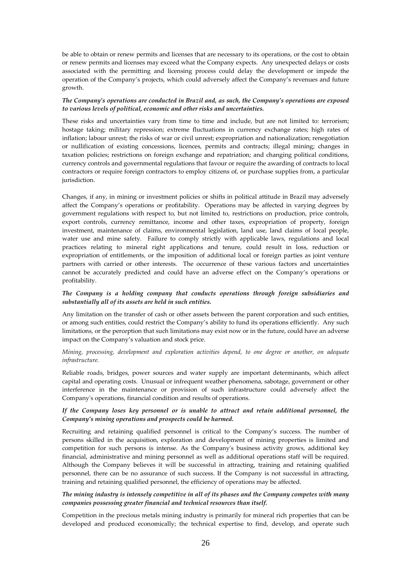be able to obtain or renew permits and licenses that are necessary to its operations, or the cost to obtain or renew permits and licenses may exceed what the Company expects. Any unexpected delays or costs associated with the permitting and licensing process could delay the development or impede the operation of the Company's projects, which could adversely affect the Company's revenues and future growth.

# *The Company's operations are conducted in Brazil and, as such, the Company's operations are exposed to various levels of political, economic and other risks and uncertainties.*

These risks and uncertainties vary from time to time and include, but are not limited to: terrorism; hostage taking; military repression; extreme fluctuations in currency exchange rates; high rates of inflation; labour unrest; the risks of war or civil unrest; expropriation and nationalization; renegotiation or nullification of existing concessions, licences, permits and contracts; illegal mining; changes in taxation policies; restrictions on foreign exchange and repatriation; and changing political conditions, currency controls and governmental regulations that favour or require the awarding of contracts to local contractors or require foreign contractors to employ citizens of, or purchase supplies from, a particular jurisdiction.

Changes, if any, in mining or investment policies or shifts in political attitude in Brazil may adversely affect the Company's operations or profitability. Operations may be affected in varying degrees by government regulations with respect to, but not limited to, restrictions on production, price controls, export controls, currency remittance, income and other taxes, expropriation of property, foreign investment, maintenance of claims, environmental legislation, land use, land claims of local people, water use and mine safety. Failure to comply strictly with applicable laws, regulations and local practices relating to mineral right applications and tenure, could result in loss, reduction or expropriation of entitlements, or the imposition of additional local or foreign parties as joint venture partners with carried or other interests. The occurrence of these various factors and uncertainties cannot be accurately predicted and could have an adverse effect on the Company's operations or profitability.

# *The Company is a holding company that conducts operations through foreign subsidiaries and substantially all of its assets are held in such entities.*

Any limitation on the transfer of cash or other assets between the parent corporation and such entities, or among such entities, could restrict the Company's ability to fund its operations efficiently. Any such limitations, or the perception that such limitations may exist now or in the future, could have an adverse impact on the Company's valuation and stock price.

# *Mining, processing, development and exploration activities depend, to one degree or another, on adequate infrastructure.*

Reliable roads, bridges, power sources and water supply are important determinants, which affect capital and operating costs. Unusual or infrequent weather phenomena, sabotage, government or other interference in the maintenance or provision of such infrastructure could adversely affect the Company's operations, financial condition and results of operations.

# *If the Company loses key personnel or is unable to attract and retain additional personnel, the Company's mining operations and prospects could be harmed.*

Recruiting and retaining qualified personnel is critical to the Company's success. The number of persons skilled in the acquisition, exploration and development of mining properties is limited and competition for such persons is intense. As the Company's business activity grows, additional key financial, administrative and mining personnel as well as additional operations staff will be required. Although the Company believes it will be successful in attracting, training and retaining qualified personnel, there can be no assurance of such success. If the Company is not successful in attracting, training and retaining qualified personnel, the efficiency of operations may be affected.

# *The mining industry is intensely competitive in all of its phases and the Company competes with many companies possessing greater financial and technical resources than itself.*

Competition in the precious metals mining industry is primarily for mineral rich properties that can be developed and produced economically; the technical expertise to find, develop, and operate such